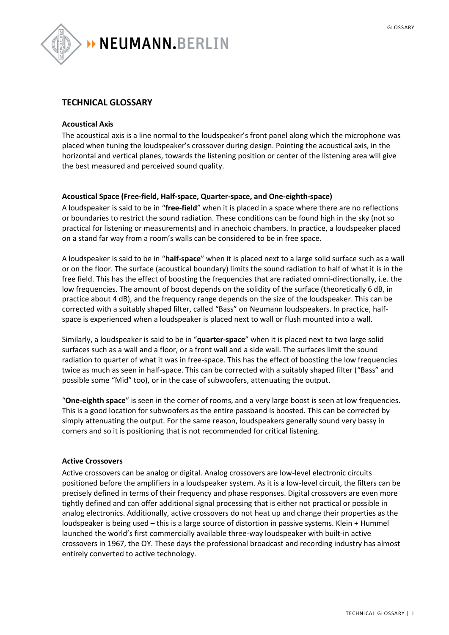

# **TECHNICAL GLOSSARY**

#### **Acoustical Axis**

The acoustical axis is a line normal to the loudspeaker's front panel along which the microphone was placed when tuning the loudspeaker's crossover during design. Pointing the acoustical axis, in the horizontal and vertical planes, towards the listening position or center of the listening area will give the best measured and perceived sound quality.

#### **Acoustical Space (Free-field, Half-space, Quarter-space, and One-eighth-space)**

A loudspeaker is said to be in "**free-field**" when it is placed in a space where there are no reflections or boundaries to restrict the sound radiation. These conditions can be found high in the sky (not so practical for listening or measurements) and in anechoic chambers. In practice, a loudspeaker placed on a stand far way from a room's walls can be considered to be in free space.

A loudspeaker is said to be in "**half-space**" when it is placed next to a large solid surface such as a wall or on the floor. The surface (acoustical boundary) limits the sound radiation to half of what it is in the free field. This has the effect of boosting the frequencies that are radiated omni-directionally, i.e. the low frequencies. The amount of boost depends on the solidity of the surface (theoretically 6 dB, in practice about 4 dB), and the frequency range depends on the size of the loudspeaker. This can be corrected with a suitably shaped filter, called "Bass" on Neumann loudspeakers. In practice, halfspace is experienced when a loudspeaker is placed next to wall or flush mounted into a wall.

Similarly, a loudspeaker is said to be in "**quarter-space**" when it is placed next to two large solid surfaces such as a wall and a floor, or a front wall and a side wall. The surfaces limit the sound radiation to quarter of what it was in free-space. This has the effect of boosting the low frequencies twice as much as seen in half-space. This can be corrected with a suitably shaped filter ("Bass" and possible some "Mid" too), or in the case of subwoofers, attenuating the output.

"**One-eighth space**" is seen in the corner of rooms, and a very large boost is seen at low frequencies. This is a good location for subwoofers as the entire passband is boosted. This can be corrected by simply attenuating the output. For the same reason, loudspeakers generally sound very bassy in corners and so it is positioning that is not recommended for critical listening.

#### **Active Crossovers**

Active crossovers can be analog or digital. Analog crossovers are low-level electronic circuits positioned before the amplifiers in a loudspeaker system. As it is a low-level circuit, the filters can be precisely defined in terms of their frequency and phase responses. Digital crossovers are even more tightly defined and can offer additional signal processing that is either not practical or possible in analog electronics. Additionally, active crossovers do not heat up and change their properties as the loudspeaker is being used – this is a large source of distortion in passive systems. Klein + Hummel launched the world's first commercially available three-way loudspeaker with built-in active crossovers in 1967, the OY. These days the professional broadcast and recording industry has almost entirely converted to active technology.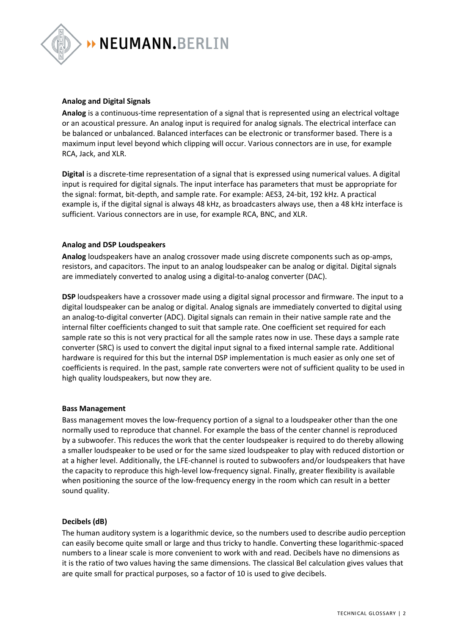

#### **Analog and Digital Signals**

**Analog** is a continuous-time representation of a signal that is represented using an electrical voltage or an acoustical pressure. An analog input is required for analog signals. The electrical interface can be balanced or unbalanced. Balanced interfaces can be electronic or transformer based. There is a maximum input level beyond which clipping will occur. Various connectors are in use, for example RCA, Jack, and XLR.

**Digital** is a discrete-time representation of a signal that is expressed using numerical values. A digital input is required for digital signals. The input interface has parameters that must be appropriate for the signal: format, bit-depth, and sample rate. For example: AES3, 24-bit, 192 kHz. A practical example is, if the digital signal is always 48 kHz, as broadcasters always use, then a 48 kHz interface is sufficient. Various connectors are in use, for example RCA, BNC, and XLR.

# **Analog and DSP Loudspeakers**

**Analog** loudspeakers have an analog crossover made using discrete components such as op-amps, resistors, and capacitors. The input to an analog loudspeaker can be analog or digital. Digital signals are immediately converted to analog using a digital-to-analog converter (DAC).

**DSP** loudspeakers have a crossover made using a digital signal processor and firmware. The input to a digital loudspeaker can be analog or digital. Analog signals are immediately converted to digital using an analog-to-digital converter (ADC). Digital signals can remain in their native sample rate and the internal filter coefficients changed to suit that sample rate. One coefficient set required for each sample rate so this is not very practical for all the sample rates now in use. These days a sample rate converter (SRC) is used to convert the digital input signal to a fixed internal sample rate. Additional hardware is required for this but the internal DSP implementation is much easier as only one set of coefficients is required. In the past, sample rate converters were not of sufficient quality to be used in high quality loudspeakers, but now they are.

#### **Bass Management**

Bass management moves the low-frequency portion of a signal to a loudspeaker other than the one normally used to reproduce that channel. For example the bass of the center channel is reproduced by a subwoofer. This reduces the work that the center loudspeaker is required to do thereby allowing a smaller loudspeaker to be used or for the same sized loudspeaker to play with reduced distortion or at a higher level. Additionally, the LFE-channel is routed to subwoofers and/or loudspeakers that have the capacity to reproduce this high-level low-frequency signal. Finally, greater flexibility is available when positioning the source of the low-frequency energy in the room which can result in a better sound quality.

#### **Decibels (dB)**

The human auditory system is a logarithmic device, so the numbers used to describe audio perception can easily become quite small or large and thus tricky to handle. Converting these logarithmic-spaced numbers to a linear scale is more convenient to work with and read. Decibels have no dimensions as it is the ratio of two values having the same dimensions. The classical Bel calculation gives values that are quite small for practical purposes, so a factor of 10 is used to give decibels.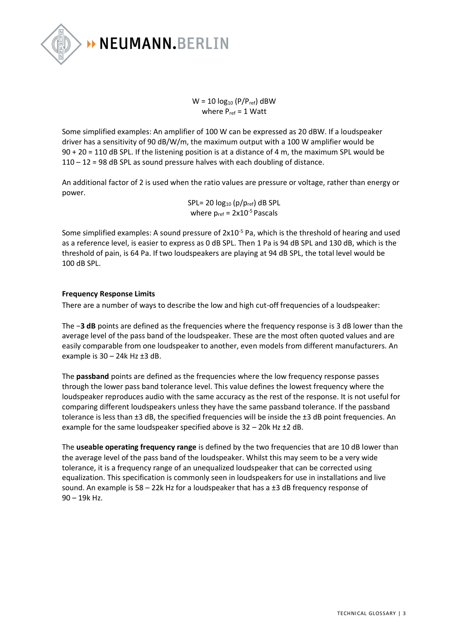

 $W = 10 log_{10} (P/P_{ref})$  dBW where  $P_{ref} = 1$  Watt

Some simplified examples: An amplifier of 100 W can be expressed as 20 dBW. If a loudspeaker driver has a sensitivity of 90 dB/W/m, the maximum output with a 100 W amplifier would be 90 + 20 = 110 dB SPL. If the listening position is at a distance of 4 m, the maximum SPL would be 110 – 12 = 98 dB SPL as sound pressure halves with each doubling of distance.

An additional factor of 2 is used when the ratio values are pressure or voltage, rather than energy or power.

> SPL= 20  $log_{10}$  (p/p<sub>ref</sub>) dB SPL where  $p_{ref} = 2x10^{-5}$  Pascals

Some simplified examples: A sound pressure of 2x10<sup>-5</sup> Pa, which is the threshold of hearing and used as a reference level, is easier to express as 0 dB SPL. Then 1 Pa is 94 dB SPL and 130 dB, which is the threshold of pain, is 64 Pa. If two loudspeakers are playing at 94 dB SPL, the total level would be 100 dB SPL.

# **Frequency Response Limits**

There are a number of ways to describe the low and high cut-off frequencies of a loudspeaker:

The −**3 dB** points are defined as the frequencies where the frequency response is 3 dB lower than the average level of the pass band of the loudspeaker. These are the most often quoted values and are easily comparable from one loudspeaker to another, even models from different manufacturers. An example is  $30 - 24k$  Hz  $\pm 3$  dB.

The **passband** points are defined as the frequencies where the low frequency response passes through the lower pass band tolerance level. This value defines the lowest frequency where the loudspeaker reproduces audio with the same accuracy as the rest of the response. It is not useful for comparing different loudspeakers unless they have the same passband tolerance. If the passband tolerance is less than ±3 dB, the specified frequencies will be inside the ±3 dB point frequencies. An example for the same loudspeaker specified above is 32 – 20k Hz ±2 dB.

The **useable operating frequency range** is defined by the two frequencies that are 10 dB lower than the average level of the pass band of the loudspeaker. Whilst this may seem to be a very wide tolerance, it is a frequency range of an unequalized loudspeaker that can be corrected using equalization. This specification is commonly seen in loudspeakers for use in installations and live sound. An example is  $58 - 22k$  Hz for a loudspeaker that has a  $\pm 3$  dB frequency response of 90 – 19k Hz.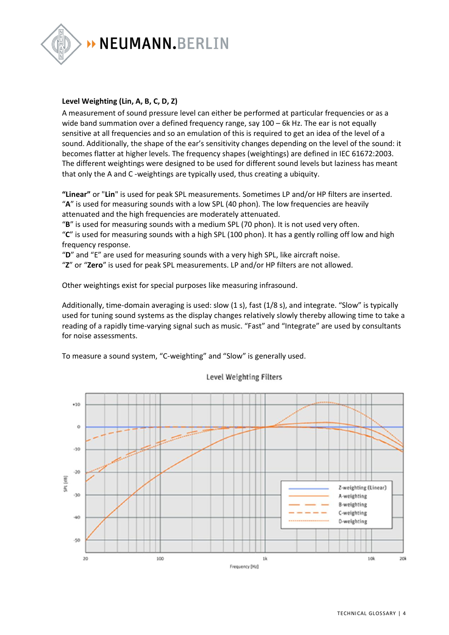

# **Level Weighting (Lin, A, B, C, D, Z)**

A measurement of sound pressure level can either be performed at particular frequencies or as a wide band summation over a defined frequency range, say 100 – 6k Hz. The ear is not equally sensitive at all frequencies and so an emulation of this is required to get an idea of the level of a sound. Additionally, the shape of the ear's sensitivity changes depending on the level of the sound: it becomes flatter at higher levels. The frequency shapes (weightings) are defined in IEC 61672:2003. The different weightings were designed to be used for different sound levels but laziness has meant that only the A and C -weightings are typically used, thus creating a ubiquity.

**"Linear"** or "**Lin**" is used for peak SPL measurements. Sometimes LP and/or HP filters are inserted. "**A**" is used for measuring sounds with a low SPL (40 phon). The low frequencies are heavily attenuated and the high frequencies are moderately attenuated.

"**B**" is used for measuring sounds with a medium SPL (70 phon). It is not used very often. "**C**" is used for measuring sounds with a high SPL (100 phon). It has a gently rolling off low and high frequency response.

"**D**" and "E" are used for measuring sounds with a very high SPL, like aircraft noise.

"**Z**" or "**Zero**" is used for peak SPL measurements. LP and/or HP filters are not allowed.

Other weightings exist for special purposes like measuring infrasound.

Additionally, time-domain averaging is used: slow (1 s), fast (1/8 s), and integrate. "Slow" is typically used for tuning sound systems as the display changes relatively slowly thereby allowing time to take a reading of a rapidly time-varying signal such as music. "Fast" and "Integrate" are used by consultants for noise assessments.

To measure a sound system, "C-weighting" and "Slow" is generally used.



Level Weighting Filters